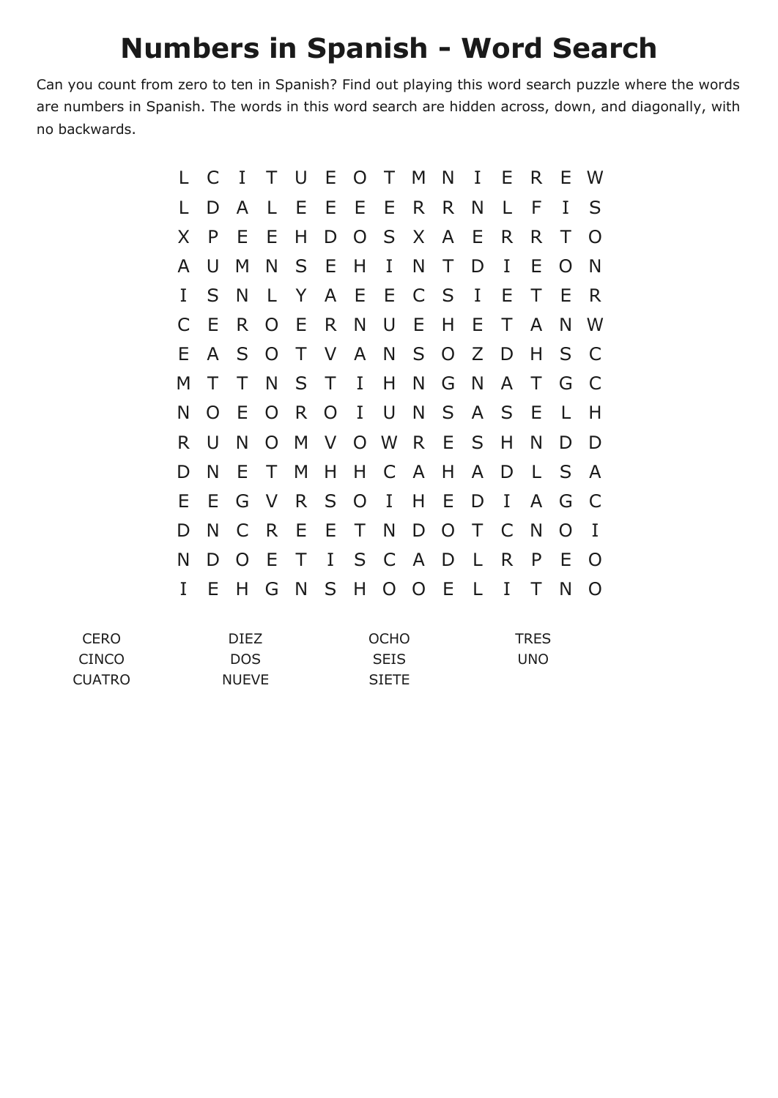## **Numbers in Spanish - Word Search**

Can you count from zero to ten in Spanish? Find out playing this word search puzzle where the words are numbers in Spanish. The words in this word search are hidden across, down, and diagonally, with no backwards.

|    | C        | $\mathbf I$ | T.             | U      |                |                | E O T M        |                | $N$ I          |              | E  | R.     | E        | - W      |
|----|----------|-------------|----------------|--------|----------------|----------------|----------------|----------------|----------------|--------------|----|--------|----------|----------|
|    | D        | A           | L.             | E.     |                |                | EEE            | R R            |                | N            | L. | F      | I        | S        |
| X  | P        | E.          | E              | H      | D              |                | OSX            |                | $\mathsf{A}$   | E            | R. | R.     | Τ        | $\Omega$ |
| A  | U        | M           | N              |        | S E            |                | $H$ I          |                | N T            | D            | I  | E      | $\Omega$ | N        |
| I  | S        | N           | L.             | Y.     |                | A E            | E              | C S            |                | $\bf{I}$     | Ε  | Τ      | E        | R        |
| C  | E        | R.          | $\overline{O}$ | E      | R              |                | N U E          |                | H              | E            | T  | A      | N        | - W      |
| Е. | A        | S -         | $\overline{O}$ |        |                |                | T V A N S O Z  |                |                |              | D  | H      | S        | C        |
| М  | Τ        | Τ           |                | N S T  |                | $\mathbf{I}$   | $H_{\perp}$    | N              |                | G N          | A  | $\top$ | G        | C        |
| N  | $\Omega$ | E           | $\overline{O}$ | R      | $\overline{O}$ | $\mathbf{I}$   | U              | N              |                | S A S        |    | - E    | L.       | Н        |
| R. | $\cup$   | N           | $\overline{O}$ |        |                |                | M V O W R E S  |                |                |              | H  | N      | D        | D        |
| D  | N        | E.          | T              | M      | H              | H              |                | C A            | H              | A            | D  | L.     | S.       | <b>A</b> |
| Ε  | E.       | G           |                | V R S  |                | $\overline{O}$ | $\mathbf{I}$   | $H_{\perp}$    | E              | D            | I  | A      | G        | C        |
| D  | N        | C           | R <sup>1</sup> | E.     | E.             | $\top$         | N              | D              | $\overline{O}$ | $\top$       | C  | N      | $\Omega$ | I        |
| N  | D        | $\Omega$    | E.             | $\top$ | $\mathbf{I}$   |                | S C A          |                | D              | $\mathsf{L}$ | R. | P      | Ε        | O        |
| I  | Ε        | Н           | G              | N      | S              | H              | $\overline{O}$ | $\overline{O}$ | E              | L.           | I  | Τ      | N        | O        |

| <b>CERO</b>   | DIFZ.        | <b>OCHO</b>  | <b>TRES</b> |
|---------------|--------------|--------------|-------------|
| CINCO         | DOS.         | <b>SEIS</b>  | UNO         |
| <b>CUATRO</b> | <b>NUEVE</b> | <b>SIETE</b> |             |